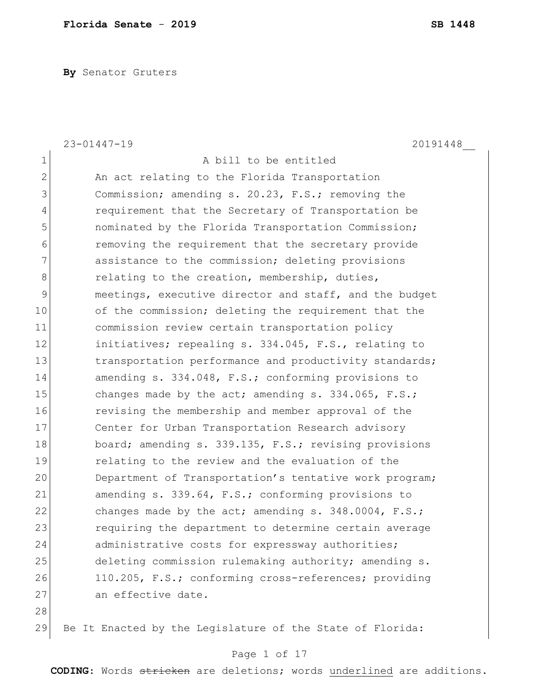**By** Senator Gruters

|                | $23 - 01447 - 19$<br>20191448                             |
|----------------|-----------------------------------------------------------|
| $\mathbf 1$    | A bill to be entitled                                     |
| $\mathbf 2$    | An act relating to the Florida Transportation             |
| 3              | Commission; amending s. 20.23, F.S.; removing the         |
| $\overline{4}$ | requirement that the Secretary of Transportation be       |
| 5              | nominated by the Florida Transportation Commission;       |
| $\sqrt{6}$     | removing the requirement that the secretary provide       |
| $\overline{7}$ | assistance to the commission; deleting provisions         |
| $8\,$          | relating to the creation, membership, duties,             |
| $\mathcal{G}$  | meetings, executive director and staff, and the budget    |
| 10             | of the commission; deleting the requirement that the      |
| 11             | commission review certain transportation policy           |
| 12             | initiatives; repealing s. 334.045, F.S., relating to      |
| 13             | transportation performance and productivity standards;    |
| 14             | amending s. 334.048, F.S.; conforming provisions to       |
| 15             | changes made by the act; amending $s. 334.065$ , $F.S.;$  |
| 16             | revising the membership and member approval of the        |
| 17             | Center for Urban Transportation Research advisory         |
| 18             | board; amending s. 339.135, F.S.; revising provisions     |
| 19             | relating to the review and the evaluation of the          |
| 20             | Department of Transportation's tentative work program;    |
| 21             | amending s. 339.64, F.S.; conforming provisions to        |
| 22             | changes made by the act; amending s. 348.0004, F.S.;      |
| 23             | requiring the department to determine certain average     |
| 24             | administrative costs for expressway authorities;          |
| 25             | deleting commission rulemaking authority; amending s.     |
| 26             | 110.205, F.S.; conforming cross-references; providing     |
| 27             | an effective date.                                        |
| 28             |                                                           |
| 29             | Be It Enacted by the Legislature of the State of Florida: |

# Page 1 of 17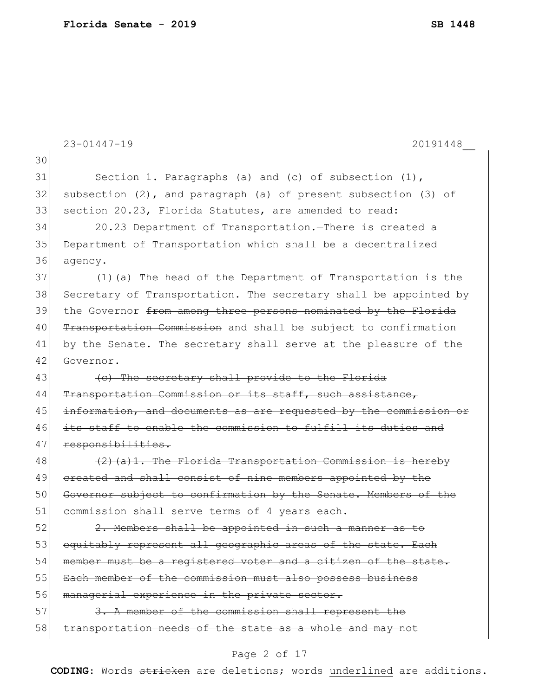|    | $23 - 01447 - 19$<br>20191448                                         |
|----|-----------------------------------------------------------------------|
| 30 |                                                                       |
| 31 | Section 1. Paragraphs (a) and (c) of subsection $(1)$ ,               |
| 32 | subsection $(2)$ , and paragraph $(a)$ of present subsection $(3)$ of |
| 33 | section 20.23, Florida Statutes, are amended to read:                 |
| 34 | 20.23 Department of Transportation. There is created a                |
| 35 | Department of Transportation which shall be a decentralized           |
| 36 | agency.                                                               |
| 37 | (1) (a) The head of the Department of Transportation is the           |
| 38 | Secretary of Transportation. The secretary shall be appointed by      |
| 39 | the Governor from among three persons nominated by the Florida        |
| 40 | Transportation Commission and shall be subject to confirmation        |
| 41 | by the Senate. The secretary shall serve at the pleasure of the       |
| 42 | Governor.                                                             |
| 43 | (c) The secretary shall provide to the Florida                        |
| 44 | Transportation Commission or its staff, such assistance,              |
| 45 | information, and documents as are requested by the commission or      |
| 46 | its staff to enable the commission to fulfill its duties and          |
| 47 | responsibilities.                                                     |
| 48 | $(2)$ (a) 1. The Florida Transportation Commission is hereby          |
| 49 | ereated and shall consist of nine members appointed by the            |
| 50 | Governor subject to confirmation by the Senate. Members of the        |
| 51 | commission shall serve terms of 4 years each.                         |
| 52 | 2. Members shall be appointed in such a manner as to                  |
| 53 | equitably represent all geographic areas of the state. Each           |
| 54 | member must be a registered voter and a citizen of the state.         |
| 55 | Each member of the commission must also possess business              |
| 56 | managerial experience in the private sector.                          |
| 57 | 3. A member of the commission shall represent the                     |
| 58 | transportation needs of the state as a whole and may not              |
|    | Page 2 of 17                                                          |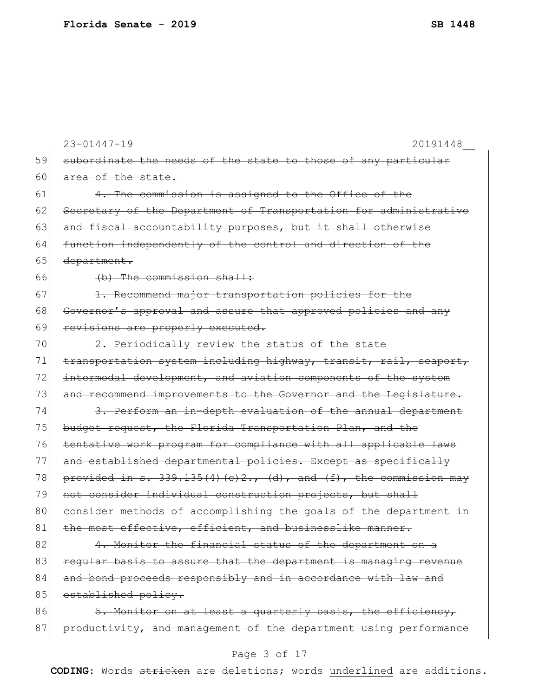|    | $23 - 01447 - 19$<br>20191448                                      |
|----|--------------------------------------------------------------------|
| 59 | subordinate the needs of the state to those of any particular      |
| 60 | area of the state.                                                 |
| 61 | 4. The commission is assigned to the Office of the                 |
| 62 | Secretary of the Department of Transportation for administrative   |
| 63 | and fiscal accountability purposes, but it shall otherwise         |
| 64 | function independently of the control and direction of the         |
| 65 | department.                                                        |
| 66 | (b) The commission shall:                                          |
| 67 | 1. Recommend major transportation policies for the                 |
| 68 | Governor's approval and assure that approved policies and any      |
| 69 | revisions are properly executed.                                   |
| 70 | 2. Periodically review the status of the state                     |
| 71 | transportation system including highway, transit, rail, seaport,   |
| 72 | intermodal development, and aviation components of the system      |
| 73 | and recommend improvements to the Governor and the Legislature.    |
| 74 | 3. Perform an in-depth evaluation of the annual department         |
| 75 | budget request, the Florida Transportation Plan, and the           |
| 76 | tentative work program for compliance with all applicable laws     |
| 77 | and established departmental policies. Except as specifically      |
| 78 | provided in $s. 339.135(4)(e)2., (d), and (f), the commission may$ |
| 79 | not consider individual construction projects, but shall           |
| 80 | consider methods of accomplishing the goals of the department in   |
| 81 | the most effective, efficient, and businesslike manner.            |
| 82 | 4. Monitor the financial status of the department on a             |
| 83 | reqular basis to assure that the department is managing revenue    |
| 84 | and bond proceeds responsibly and in accordance with law and       |
| 85 | established policy.                                                |
| 86 | 5. Monitor on at least a quarterly basis, the efficiency,          |
| 87 | productivity, and management of the department using performance   |
|    |                                                                    |

# Page 3 of 17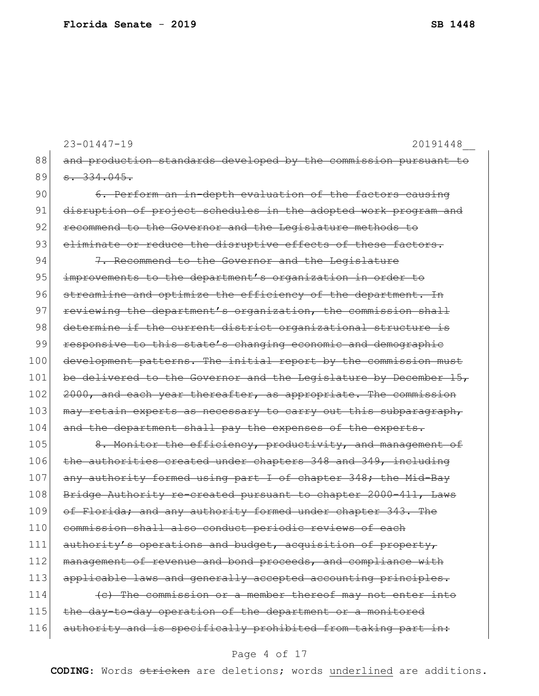88 and production standards developed by the commission pursuant to 89 <del>s. 334.045.</del> 90 6. Perform an in-depth evaluation of the factors causing 91 disruption of project schedules in the adopted work program and 92 recommend to the Governor and the Legislature methods to 93 eliminate or reduce the disruptive effects of these factors. 94  $7.$  Recommend to the Governor and the Legislature 95 improvements to the department's organization in order to 96 streamline and optimize the efficiency of the department. In 97 reviewing the department's organization, the commission shall 98 determine if the current district organizational structure is 99 responsive to this state's changing economic and demographic 100 development patterns. The initial report by the commission must 101 be delivered to the Governor and the Legislature by December 15, 102 2000, and each year thereafter, as appropriate. The commission 103 may retain experts as necessary to carry out this subparagraph, 104 and the department shall pay the expenses of the experts. 105 8. Monitor the efficiency, productivity, and management of 106 the authorities created under chapters 348 and 349, including 107 any authority formed using part I of chapter 348; the Mid-Bay 108 Bridge Authority re-created pursuant to chapter 2000-411, Laws 109 of Florida; and any authority formed under chapter 343. The 110 commission shall also conduct periodic reviews of each 111 authority's operations and budget, acquisition of property, 112 management of revenue and bond proceeds, and compliance with 113 applicable laws and generally accepted accounting principles. 114  $\left\langle \text{c} \right\rangle$  The commission or a member thereof may not enter into 115 the day-to-day operation of the department or a monitored 116 authority and is specifically prohibited from taking part in:

23-01447-19 20191448\_\_

### Page 4 of 17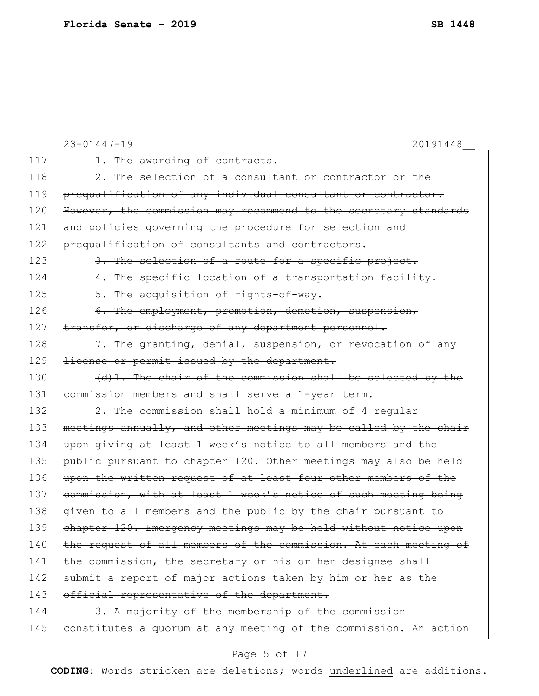|     | $23 - 01447 - 19$<br>20191448                                    |
|-----|------------------------------------------------------------------|
| 117 | 1. The awarding of contracts.                                    |
| 118 | 2. The selection of a consultant or contractor or the            |
| 119 | prequalification of any individual consultant or contractor.     |
| 120 | However, the commission may recommend to the secretary standards |
| 121 | and policies governing the procedure for selection and           |
| 122 | prequalification of consultants and contractors.                 |
| 123 | 3. The selection of a route for a specific project.              |
| 124 | 4. The specific location of a transportation facility.           |
| 125 | 5. The acquisition of rights-of-way.                             |
| 126 | 6. The employment, promotion, demotion, suspension,              |
| 127 | transfer, or discharge of any department personnel.              |
| 128 | 7. The granting, denial, suspension, or revocation of any        |
| 129 | license or permit issued by the department.                      |
| 130 | (d)1. The chair of the commission shall be selected by the       |
| 131 | commission members and shall serve a 1-year term.                |
| 132 | 2. The commission shall hold a minimum of 4 reqular              |
| 133 | meetings annually, and other meetings may be called by the chair |
| 134 | upon giving at least 1 week's notice to all members and the      |
| 135 | public pursuant to chapter 120. Other meetings may also be held  |
| 136 | upon the written request of at least four other members of the   |
| 137 | commission, with at least 1 week's notice of such meeting being  |
| 138 | given to all members and the public by the chair pursuant to     |
| 139 | chapter 120. Emergency meetings may be held without notice upon  |
| 140 | the request of all members of the commission. At each meeting of |
| 141 | the commission, the secretary or his or her designee shall       |
| 142 | submit a report of major actions taken by him or her as the      |
| 143 | official representative of the department.                       |
| 144 | 3. A majority of the membership of the commission                |
| 145 | constitutes a quorum at any meeting of the commission. An action |
|     |                                                                  |

# Page 5 of 17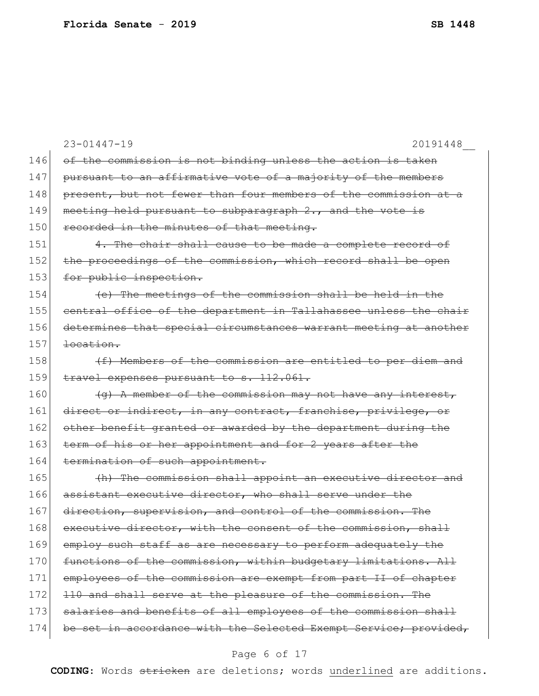|     | $23 - 01447 - 19$<br>20191448                                    |
|-----|------------------------------------------------------------------|
| 146 | of the commission is not binding unless the action is taken      |
| 147 | pursuant to an affirmative vote of a majority of the members     |
| 148 | present, but not fewer than four members of the commission at a  |
| 149 | meeting held pursuant to subparagraph 2., and the vote is        |
| 150 | recorded in the minutes of that meeting.                         |
| 151 | 4. The chair shall cause to be made a complete record of         |
| 152 | the proceedings of the commission, which record shall be open    |
| 153 | for public inspection.                                           |
| 154 | (e) The meetings of the commission shall be held in the          |
| 155 | central office of the department in Tallahassee unless the chair |
| 156 | determines that special circumstances warrant meeting at another |
| 157 | location.                                                        |
| 158 | (f) Members of the commission are entitled to per diem and       |
| 159 | travel expenses pursuant to s. 112.061.                          |
| 160 | (a) A member of the commission may not have any interest,        |
| 161 | direct or indirect, in any contract, franchise, privilege, or    |
| 162 | other benefit granted or awarded by the department during the    |
| 163 | term of his or her appointment and for 2 years after the         |
| 164 | termination of such appointment.                                 |
| 165 | (h) The commission shall appoint an executive director and       |
| 166 | assistant executive director, who shall serve under the          |
| 167 | direction, supervision, and control of the commission. The       |
| 168 | executive director, with the consent of the commission, shall    |
| 169 | employ such staff as are necessary to perform adequately the     |
| 170 | functions of the commission, within budgetary limitations. All   |
| 171 | employees of the commission are exempt from part II of chapter   |
| 172 | 110 and shall serve at the pleasure of the commission. The       |
| 173 | salaries and benefits of all employees of the commission shall   |
| 174 | be set in accordance with the Selected Exempt Service; provided, |
|     |                                                                  |

## Page 6 of 17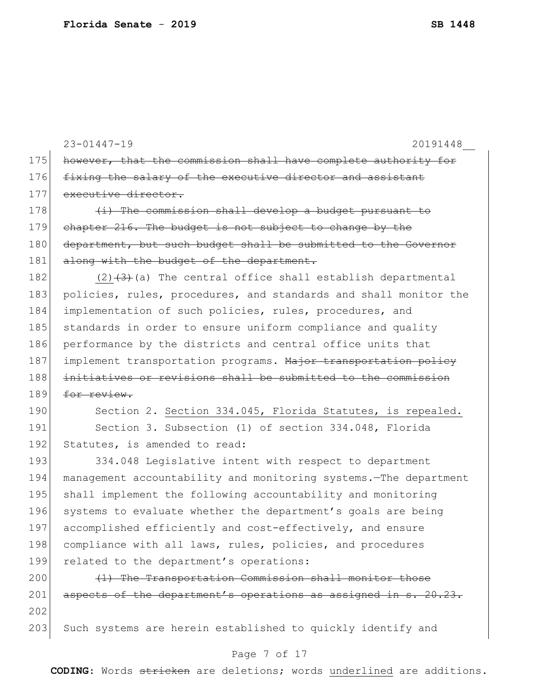23-01447-19 20191448\_\_ 175 however, that the commission shall have complete authority for 176 fixing the salary of the executive director and assistant 177 executive director. 178 (i) The commission shall develop a budget pursuant to 179 chapter 216. The budget is not subject to change by the 180 department, but such budget shall be submitted to the Governor 181 along with the budget of the department. 182  $(2)$   $(3)$   $(3)$  (a) The central office shall establish departmental 183 policies, rules, procedures, and standards and shall monitor the 184 implementation of such policies, rules, procedures, and 185 standards in order to ensure uniform compliance and quality 186 performance by the districts and central office units that 187 implement transportation programs. Major transportation policy 188 initiatives or revisions shall be submitted to the commission  $189$  for review. 190 Section 2. Section 334.045, Florida Statutes, is repealed. 191 Section 3. Subsection (1) of section 334.048, Florida 192 Statutes, is amended to read: 193 334.048 Legislative intent with respect to department 194 management accountability and monitoring systems.—The department 195 shall implement the following accountability and monitoring 196 systems to evaluate whether the department's goals are being 197 accomplished efficiently and cost-effectively, and ensure 198 compliance with all laws, rules, policies, and procedures 199 related to the department's operations:  $200$  (1) The Transportation Commission shall monitor those 201 aspects of the department's operations as assigned in s. 20.23. 202 203 Such systems are herein established to quickly identify and

### Page 7 of 17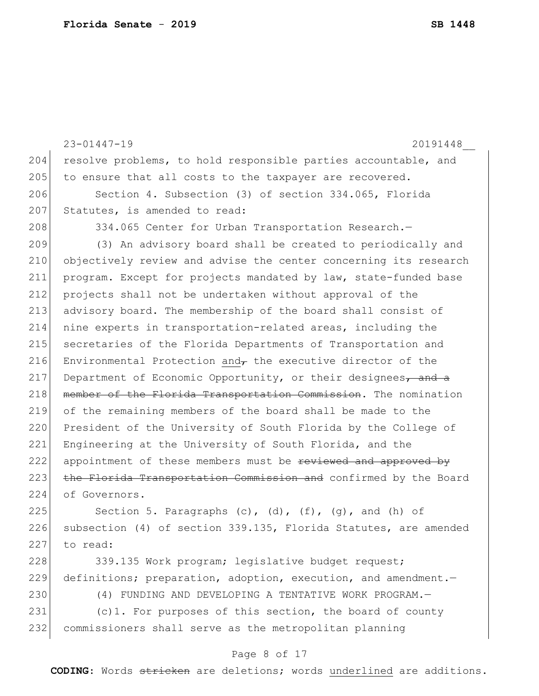```
23-01447-19 20191448__
204 resolve problems, to hold responsible parties accountable, and
205 to ensure that all costs to the taxpayer are recovered.
206 Section 4. Subsection (3) of section 334.065, Florida 
207 Statutes, is amended to read:
208 334.065 Center for Urban Transportation Research.
209 (3) An advisory board shall be created to periodically and 
210 objectively review and advise the center concerning its research 
211 program. Except for projects mandated by law, state-funded base 
212 projects shall not be undertaken without approval of the 
213 advisory board. The membership of the board shall consist of 
214 nine experts in transportation-related areas, including the 
215 secretaries of the Florida Departments of Transportation and 
216 Environmental Protection and\tau the executive director of the
217 Department of Economic Opportunity, or their designees, and a
218 member of the Florida Transportation Commission. The nomination
219 of the remaining members of the board shall be made to the 
220 President of the University of South Florida by the College of
221 Engineering at the University of South Florida, and the
222 appointment of these members must be reviewed and approved by
223 the Florida Transportation Commission and confirmed by the Board
224 of Governors.
225 Section 5. Paragraphs (c), (d), (f), (g), and (h) of
226 subsection (4) of section 339.135, Florida Statutes, are amended
```
227 to read:

228 339.135 Work program; legislative budget request; 229 definitions; preparation, adoption, execution, and amendment.

230 (4) FUNDING AND DEVELOPING A TENTATIVE WORK PROGRAM.

231 (c)1. For purposes of this section, the board of county 232 commissioners shall serve as the metropolitan planning

#### Page 8 of 17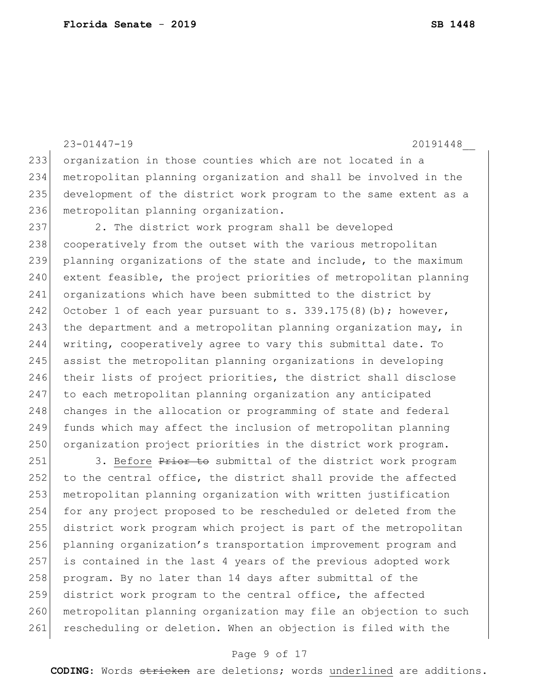23-01447-19 20191448\_\_ 233 organization in those counties which are not located in a 234 metropolitan planning organization and shall be involved in the 235 development of the district work program to the same extent as a 236 metropolitan planning organization.

237 2. The district work program shall be developed 238 cooperatively from the outset with the various metropolitan 239 planning organizations of the state and include, to the maximum 240 extent feasible, the project priorities of metropolitan planning 241 organizations which have been submitted to the district by 242 October 1 of each year pursuant to s.  $339.175(8)(b)$ ; however, 243 the department and a metropolitan planning organization may, in 244 writing, cooperatively agree to vary this submittal date. To 245 assist the metropolitan planning organizations in developing 246 their lists of project priorities, the district shall disclose 247 to each metropolitan planning organization any anticipated 248 changes in the allocation or programming of state and federal 249 funds which may affect the inclusion of metropolitan planning 250 organization project priorities in the district work program.

251 3. Before Prior to submittal of the district work program 252 to the central office, the district shall provide the affected 253 metropolitan planning organization with written justification 254 for any project proposed to be rescheduled or deleted from the 255 district work program which project is part of the metropolitan 256 planning organization's transportation improvement program and 257 is contained in the last 4 years of the previous adopted work 258 program. By no later than 14 days after submittal of the 259 district work program to the central office, the affected 260 | metropolitan planning organization may file an objection to such 261 rescheduling or deletion. When an objection is filed with the

### Page 9 of 17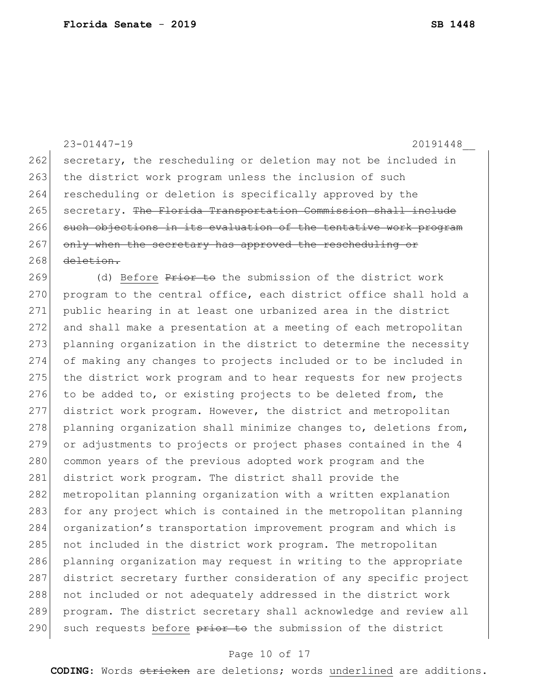|     | $23 - 01447 - 19$<br>20191448                                    |
|-----|------------------------------------------------------------------|
| 262 | secretary, the rescheduling or deletion may not be included in   |
| 263 | the district work program unless the inclusion of such           |
| 264 | rescheduling or deletion is specifically approved by the         |
| 265 | secretary. The Florida Transportation Commission shall include   |
| 266 | such objections in its evaluation of the tentative work program  |
| 267 | only when the secretary has approved the rescheduling or         |
| 268 | deletion.                                                        |
| 269 | (d) Before Prior to the submission of the district work          |
| 270 | program to the central office, each district office shall hold a |
| 271 | public hearing in at least one urbanized area in the district    |
| 272 | and shall make a presentation at a meeting of each metropolitan  |
| 273 | planning organization in the district to determine the necessity |
| 274 | of making any changes to projects included or to be included in  |
| 275 | the district work program and to hear requests for new projects  |
| 276 | to be added to, or existing projects to be deleted from, the     |
| 277 | district work program. However, the district and metropolitan    |
| 278 | planning organization shall minimize changes to, deletions from, |
| 279 | or adjustments to projects or project phases contained in the 4  |
| 280 | common years of the previous adopted work program and the        |
| 281 | district work program. The district shall provide the            |
| 282 | metropolitan planning organization with a written explanation    |
| 283 | for any project which is contained in the metropolitan planning  |
| 284 | organization's transportation improvement program and which is   |
| 285 | not included in the district work program. The metropolitan      |
|     |                                                                  |

286 planning organization may request in writing to the appropriate 287 district secretary further consideration of any specific project 288 not included or not adequately addressed in the district work program. The district secretary shall acknowledge and review all 290 such requests before prior to the submission of the district

### Page 10 of 17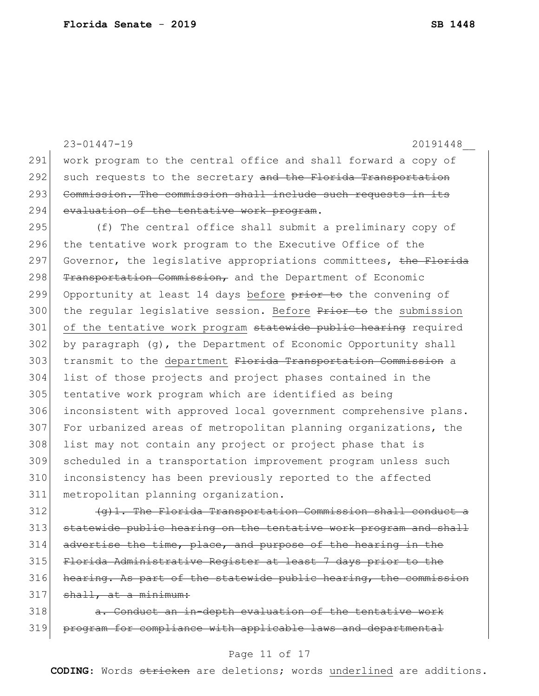23-01447-19 20191448\_\_ 291 work program to the central office and shall forward a copy of 292 such requests to the secretary and the Florida Transportation 293 Commission. The commission shall include such requests in its 294 evaluation of the tentative work program. 295 (f) The central office shall submit a preliminary copy of 296 the tentative work program to the Executive Office of the 297 Governor, the legislative appropriations committees, the Florida 298 Transportation Commission, and the Department of Economic 299 Opportunity at least 14 days before prior to the convening of 300 the regular legislative session. Before Prior to the submission 301 of the tentative work program statewide public hearing required  $302$  by paragraph (q), the Department of Economic Opportunity shall 303 transmit to the department Florida Transportation Commission a 304 list of those projects and project phases contained in the 305 tentative work program which are identified as being 306 inconsistent with approved local government comprehensive plans. 307 For urbanized areas of metropolitan planning organizations, the 308 list may not contain any project or project phase that is 309 scheduled in a transportation improvement program unless such 310 inconsistency has been previously reported to the affected 311 metropolitan planning organization.  $312$  (g)1. The Florida Transportation Commission shall conduct

 statewide public hearing on the tentative work program and shall 314 advertise the time, place, and purpose of the hearing in the Florida Administrative Register at least 7 days prior to the hearing. As part of the statewide public hearing, the commission shall, at a minimum:

318 a. Conduct an in-depth evaluation of the tentative work 319 program for compliance with applicable laws and departmental

### Page 11 of 17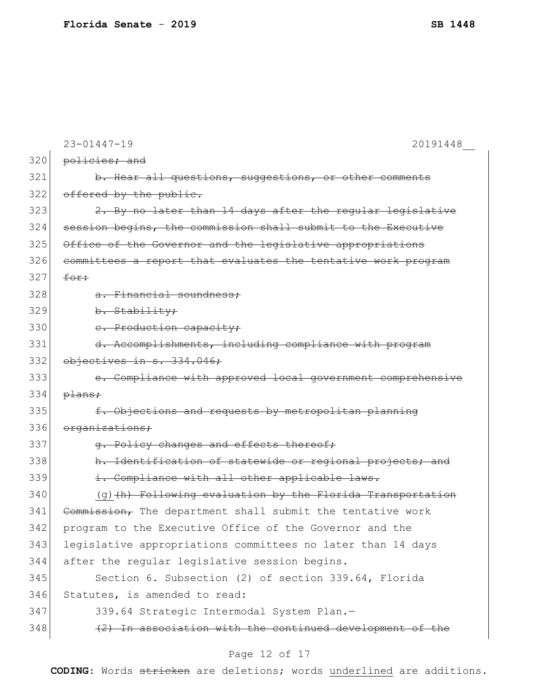|     | $23 - 01447 - 19$<br>20191448                                  |
|-----|----------------------------------------------------------------|
| 320 | policies; and                                                  |
| 321 | b. Hear all questions, suggestions, or other comments          |
| 322 | offered by the public.                                         |
| 323 | 2. By no later than 14 days after the regular legislative      |
| 324 | session begins, the commission shall submit to the Executive   |
| 325 | Office of the Governor and the legislative appropriations      |
| 326 | committees a report that evaluates the tentative work program  |
| 327 | for:                                                           |
| 328 | a. Financial soundness:                                        |
| 329 | b. Stability;                                                  |
| 330 | e. Production capacity;                                        |
| 331 | d. Accomplishments, including compliance with program          |
| 332 | objectives in s. 334.046;                                      |
| 333 | e. Compliance with approved local government comprehensive     |
| 334 | plans;                                                         |
| 335 | f. Objections and requests by metropolitan planning            |
| 336 | organizations;                                                 |
| 337 | q. Policy changes and effects thereof;                         |
| 338 | h. Identification of statewide or regional projects; and       |
| 339 | i. Compliance with all other applicable laws.                  |
| 340 | $(g)$ $(h)$ Following evaluation by the Florida Transportation |
| 341 | Commission, The department shall submit the tentative work     |
| 342 | program to the Executive Office of the Governor and the        |
| 343 | legislative appropriations committees no later than 14 days    |
| 344 | after the regular legislative session begins.                  |
| 345 | Section 6. Subsection (2) of section 339.64, Florida           |
| 346 | Statutes, is amended to read:                                  |
| 347 | 339.64 Strategic Intermodal System Plan.-                      |
| 348 | (2) In association with the continued development of the       |
|     |                                                                |

# Page 12 of 17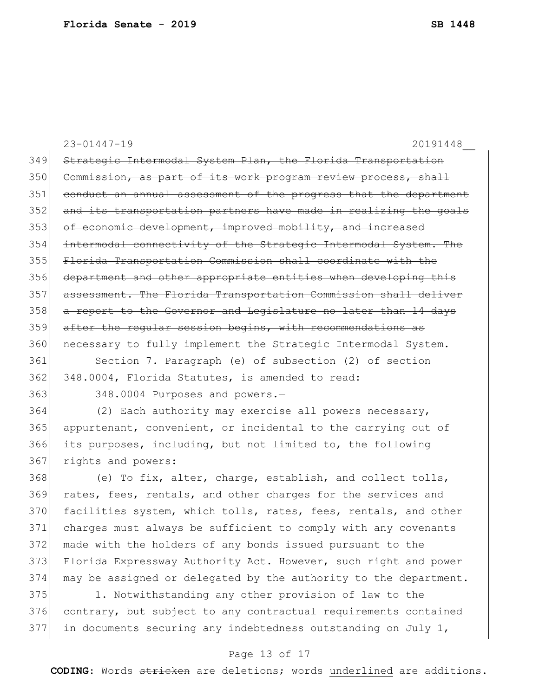|     | $23 - 01447 - 19$<br>20191448                                    |
|-----|------------------------------------------------------------------|
| 349 | Strategic Intermodal System Plan, the Florida Transportation     |
| 350 | Commission, as part of its work program review process, shall    |
| 351 | conduct an annual assessment of the progress that the department |
| 352 | and its transportation partners have made in realizing the goals |
| 353 | of economic development, improved mobility, and increased        |
| 354 | intermodal connectivity of the Strategic Intermodal System. The  |
| 355 | Florida Transportation Commission shall coordinate with the      |
| 356 | department and other appropriate entities when developing this   |
| 357 | assessment. The Florida Transportation Commission shall deliver  |
| 358 | a report to the Governor and Legislature no later than 14 days   |
| 359 | after the regular session begins, with recommendations as        |
| 360 | necessary to fully implement the Strategic Intermodal System.    |
| 361 | Section 7. Paragraph (e) of subsection (2) of section            |
| 362 | 348.0004, Florida Statutes, is amended to read:                  |
| 363 | 348.0004 Purposes and powers.-                                   |
| 364 | (2) Each authority may exercise all powers necessary,            |
| 365 | appurtenant, convenient, or incidental to the carrying out of    |
| 366 | its purposes, including, but not limited to, the following       |
| 367 | rights and powers:                                               |
| 368 | (e) To fix, alter, charge, establish, and collect tolls,         |
| 369 | rates, fees, rentals, and other charges for the services and     |
| 370 | facilities system, which tolls, rates, fees, rentals, and other  |
| 371 | charges must always be sufficient to comply with any covenants   |
| 372 | made with the holders of any bonds issued pursuant to the        |
| 373 | Florida Expressway Authority Act. However, such right and power  |
| 374 | may be assigned or delegated by the authority to the department. |
| 375 | 1. Notwithstanding any other provision of law to the             |
| 376 | contrary, but subject to any contractual requirements contained  |
| 377 | in documents securing any indebtedness outstanding on July 1,    |

## Page 13 of 17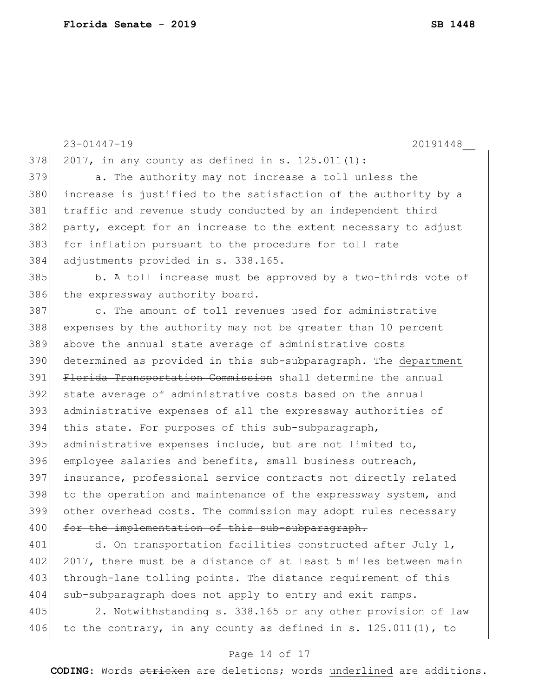23-01447-19 20191448\_\_ 378 2017, in any county as defined in s. 125.011(1): 379 a. The authority may not increase a toll unless the 380 increase is justified to the satisfaction of the authority by a 381 traffic and revenue study conducted by an independent third 382 party, except for an increase to the extent necessary to adjust 383 for inflation pursuant to the procedure for toll rate 384 adjustments provided in s. 338.165. 385 b. A toll increase must be approved by a two-thirds vote of 386 the expressway authority board. 387 c. The amount of toll revenues used for administrative 388 expenses by the authority may not be greater than 10 percent 389 above the annual state average of administrative costs 390 determined as provided in this sub-subparagraph. The department 391 Florida Transportation Commission shall determine the annual 392 state average of administrative costs based on the annual 393 administrative expenses of all the expressway authorities of 394 this state. For purposes of this sub-subparagraph,  $395$  administrative expenses include, but are not limited to, 396 employee salaries and benefits, small business outreach, 397 insurance, professional service contracts not directly related 398 to the operation and maintenance of the expressway system, and 399 other overhead costs. The commission may adopt rules necessary 400 for the implementation of this sub-subparagraph. 401 d. On transportation facilities constructed after July 1, 402 2017, there must be a distance of at least 5 miles between main 403 through-lane tolling points. The distance requirement of this

405 2. Notwithstanding s. 338.165 or any other provision of law 406 to the contrary, in any county as defined in s. 125.011(1), to

404 sub-subparagraph does not apply to entry and exit ramps.

### Page 14 of 17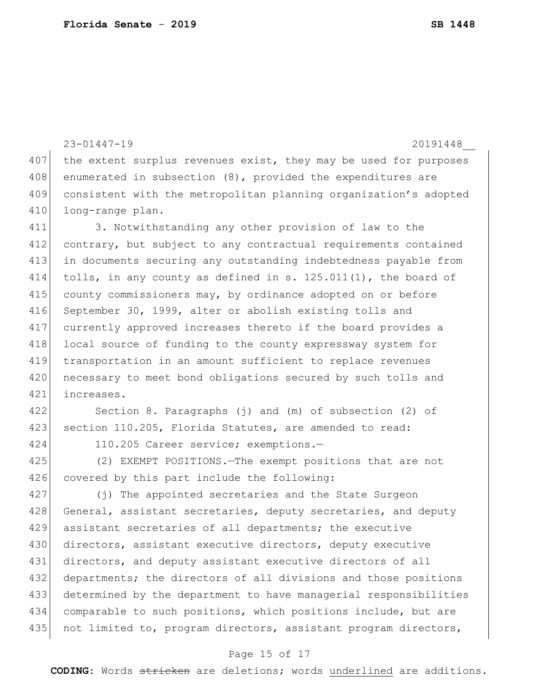23-01447-19 20191448\_\_ 407 the extent surplus revenues exist, they may be used for purposes 408 enumerated in subsection (8), provided the expenditures are consistent with the metropolitan planning organization's adopted long-range plan. 3. Notwithstanding any other provision of law to the contrary, but subject to any contractual requirements contained in documents securing any outstanding indebtedness payable from tolls, in any county as defined in s. 125.011(1), the board of county commissioners may, by ordinance adopted on or before 416 September 30, 1999, alter or abolish existing tolls and currently approved increases thereto if the board provides a 418 local source of funding to the county expressway system for transportation in an amount sufficient to replace revenues 420 necessary to meet bond obligations secured by such tolls and increases. Section 8. Paragraphs (j) and (m) of subsection (2) of 423 section 110.205, Florida Statutes, are amended to read: 110.205 Career service; exemptions.— (2) EXEMPT POSITIONS.—The exempt positions that are not 426 covered by this part include the following: (j) The appointed secretaries and the State Surgeon 428 General, assistant secretaries, deputy secretaries, and deputy assistant secretaries of all departments; the executive 430 directors, assistant executive directors, deputy executive directors, and deputy assistant executive directors of all departments; the directors of all divisions and those positions determined by the department to have managerial responsibilities comparable to such positions, which positions include, but are 435 not limited to, program directors, assistant program directors,

#### Page 15 of 17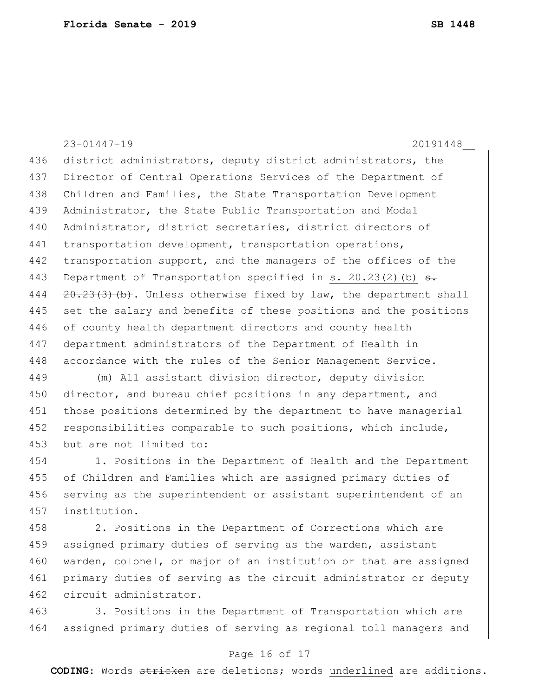23-01447-19 20191448\_\_ 436 district administrators, deputy district administrators, the 437 Director of Central Operations Services of the Department of 438 Children and Families, the State Transportation Development 439 Administrator, the State Public Transportation and Modal 440 Administrator, district secretaries, district directors of 441 transportation development, transportation operations, 442 transportation support, and the managers of the offices of the 443 Department of Transportation specified in s. 20.23(2)(b)  $\theta$ . 444  $\left[20.23(3)(b)\right]$ . Unless otherwise fixed by law, the department shall 445 set the salary and benefits of these positions and the positions 446 of county health department directors and county health 447 department administrators of the Department of Health in 448 accordance with the rules of the Senior Management Service. 449 (m) All assistant division director, deputy division 450 director, and bureau chief positions in any department, and 451 those positions determined by the department to have managerial 452 responsibilities comparable to such positions, which include, 453 but are not limited to: 454 1. Positions in the Department of Health and the Department

455 of Children and Families which are assigned primary duties of 456 serving as the superintendent or assistant superintendent of an 457 institution.

458 2. Positions in the Department of Corrections which are 459 assigned primary duties of serving as the warden, assistant 460 warden, colonel, or major of an institution or that are assigned 461 primary duties of serving as the circuit administrator or deputy 462 circuit administrator.

463 3. Positions in the Department of Transportation which are 464 assigned primary duties of serving as regional toll managers and

### Page 16 of 17